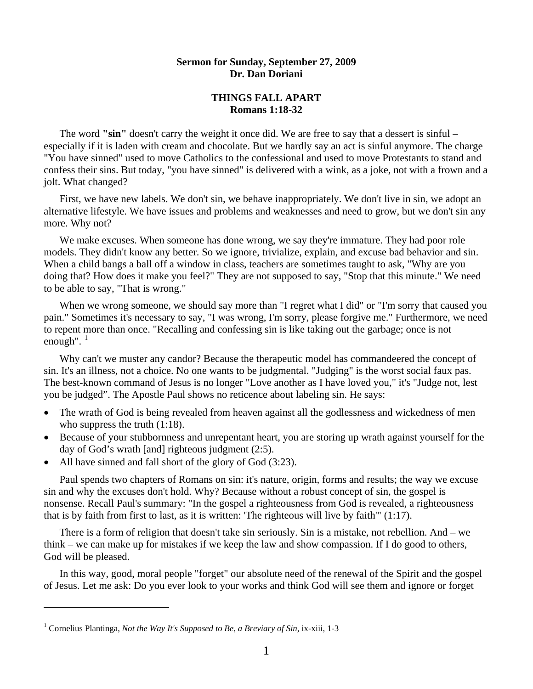## **Sermon for Sunday, September 27, 2009 Dr. Dan Doriani**

## **THINGS FALL APART Romans 1:18-32**

The word **"sin"** doesn't carry the weight it once did. We are free to say that a dessert is sinful – especially if it is laden with cream and chocolate. But we hardly say an act is sinful anymore. The charge "You have sinned" used to move Catholics to the confessional and used to move Protestants to stand and confess their sins. But today, "you have sinned" is delivered with a wink, as a joke, not with a frown and a jolt. What changed?

 First, we have new labels. We don't sin, we behave inappropriately. We don't live in sin, we adopt an alternative lifestyle. We have issues and problems and weaknesses and need to grow, but we don't sin any more. Why not?

We make excuses. When someone has done wrong, we say they're immature. They had poor role models. They didn't know any better. So we ignore, trivialize, explain, and excuse bad behavior and sin. When a child bangs a ball off a window in class, teachers are sometimes taught to ask, "Why are you doing that? How does it make you feel?" They are not supposed to say, "Stop that this minute." We need to be able to say, "That is wrong."

When we wrong someone, we should say more than "I regret what I did" or "I'm sorry that caused you pain." Sometimes it's necessary to say, "I was wrong, I'm sorry, please forgive me." Furthermore, we need to repent more than once. "Recalling and confessing sin is like taking out the garbage; once is not enough".  $1$ 

 Why can't we muster any candor? Because the therapeutic model has commandeered the concept of sin. It's an illness, not a choice. No one wants to be judgmental. "Judging" is the worst social faux pas. The best-known command of Jesus is no longer "Love another as I have loved you," it's "Judge not, lest you be judged". The Apostle Paul shows no reticence about labeling sin. He says:

- The wrath of God is being revealed from heaven against all the godlessness and wickedness of men who suppress the truth  $(1:18)$ .
- Because of your stubbornness and unrepentant heart, you are storing up wrath against yourself for the day of God's wrath [and] righteous judgment (2:5).
- All have sinned and fall short of the glory of God (3:23).

 Paul spends two chapters of Romans on sin: it's nature, origin, forms and results; the way we excuse sin and why the excuses don't hold. Why? Because without a robust concept of sin, the gospel is nonsense. Recall Paul's summary: "In the gospel a righteousness from God is revealed, a righteousness that is by faith from first to last, as it is written: 'The righteous will live by faith'" (1:17).

 There is a form of religion that doesn't take sin seriously. Sin is a mistake, not rebellion. And – we think – we can make up for mistakes if we keep the law and show compassion. If I do good to others, God will be pleased.

 In this way, good, moral people "forget" our absolute need of the renewal of the Spirit and the gospel of Jesus. Let me ask: Do you ever look to your works and think God will see them and ignore or forget

l

<span id="page-0-0"></span><sup>&</sup>lt;sup>1</sup> Cornelius Plantinga, *Not the Way It's Supposed to Be, a Breviary of Sin*, ix-xiii, 1-3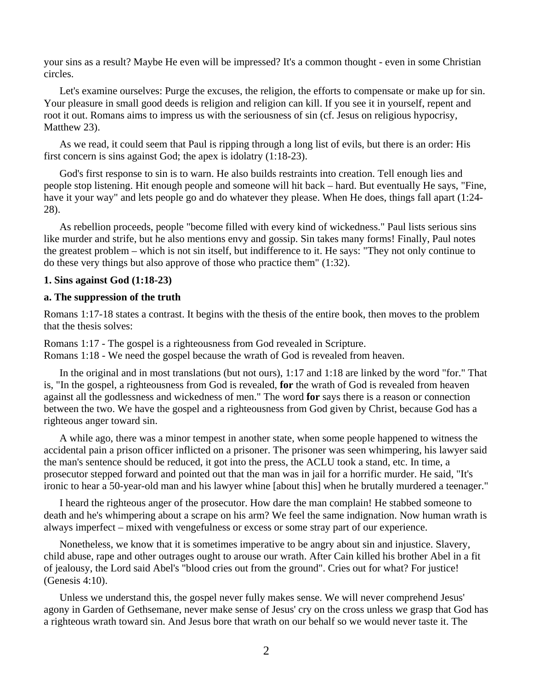your sins as a result? Maybe He even will be impressed? It's a common thought - even in some Christian circles.

 Let's examine ourselves: Purge the excuses, the religion, the efforts to compensate or make up for sin. Your pleasure in small good deeds is religion and religion can kill. If you see it in yourself, repent and root it out. Romans aims to impress us with the seriousness of sin (cf. Jesus on religious hypocrisy, Matthew 23).

 As we read, it could seem that Paul is ripping through a long list of evils, but there is an order: His first concern is sins against God; the apex is idolatry (1:18-23).

 God's first response to sin is to warn. He also builds restraints into creation. Tell enough lies and people stop listening. Hit enough people and someone will hit back – hard. But eventually He says, "Fine, have it your way" and lets people go and do whatever they please. When He does, things fall apart (1:24- 28).

 As rebellion proceeds, people "become filled with every kind of wickedness." Paul lists serious sins like murder and strife, but he also mentions envy and gossip. Sin takes many forms! Finally, Paul notes the greatest problem – which is not sin itself, but indifference to it. He says: "They not only continue to do these very things but also approve of those who practice them" (1:32).

## **1. Sins against God (1:18-23)**

### **a. The suppression of the truth**

Romans 1:17-18 states a contrast. It begins with the thesis of the entire book, then moves to the problem that the thesis solves:

Romans 1:17 - The gospel is a righteousness from God revealed in Scripture. Romans 1:18 - We need the gospel because the wrath of God is revealed from heaven.

 In the original and in most translations (but not ours), 1:17 and 1:18 are linked by the word "for." That is, "In the gospel, a righteousness from God is revealed, **for** the wrath of God is revealed from heaven against all the godlessness and wickedness of men." The word **for** says there is a reason or connection between the two. We have the gospel and a righteousness from God given by Christ, because God has a righteous anger toward sin.

 A while ago, there was a minor tempest in another state, when some people happened to witness the accidental pain a prison officer inflicted on a prisoner. The prisoner was seen whimpering, his lawyer said the man's sentence should be reduced, it got into the press, the ACLU took a stand, etc. In time, a prosecutor stepped forward and pointed out that the man was in jail for a horrific murder. He said, "It's ironic to hear a 50-year-old man and his lawyer whine [about this] when he brutally murdered a teenager."

 I heard the righteous anger of the prosecutor. How dare the man complain! He stabbed someone to death and he's whimpering about a scrape on his arm? We feel the same indignation. Now human wrath is always imperfect – mixed with vengefulness or excess or some stray part of our experience.

 Nonetheless, we know that it is sometimes imperative to be angry about sin and injustice. Slavery, child abuse, rape and other outrages ought to arouse our wrath. After Cain killed his brother Abel in a fit of jealousy, the Lord said Abel's "blood cries out from the ground". Cries out for what? For justice! (Genesis 4:10).

 Unless we understand this, the gospel never fully makes sense. We will never comprehend Jesus' agony in Garden of Gethsemane, never make sense of Jesus' cry on the cross unless we grasp that God has a righteous wrath toward sin. And Jesus bore that wrath on our behalf so we would never taste it. The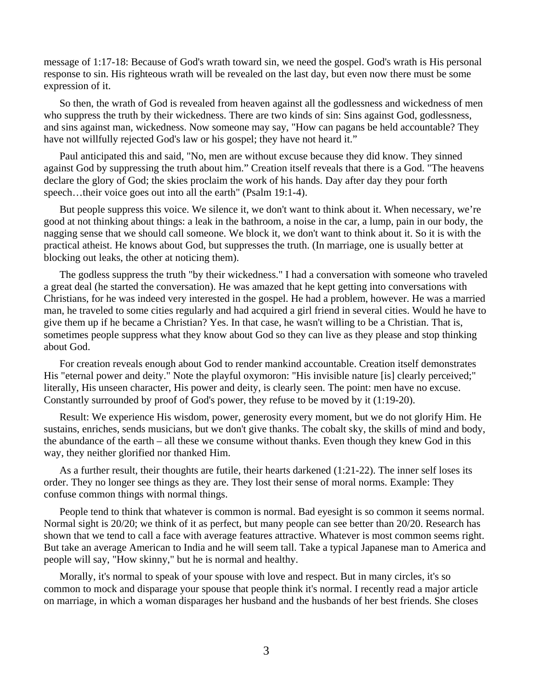message of 1:17-18: Because of God's wrath toward sin, we need the gospel. God's wrath is His personal response to sin. His righteous wrath will be revealed on the last day, but even now there must be some expression of it.

 So then, the wrath of God is revealed from heaven against all the godlessness and wickedness of men who suppress the truth by their wickedness. There are two kinds of sin: Sins against God, godlessness, and sins against man, wickedness. Now someone may say, "How can pagans be held accountable? They have not willfully rejected God's law or his gospel; they have not heard it."

 Paul anticipated this and said, "No, men are without excuse because they did know. They sinned against God by suppressing the truth about him." Creation itself reveals that there is a God. "The heavens declare the glory of God; the skies proclaim the work of his hands. Day after day they pour forth speech...their voice goes out into all the earth" (Psalm 19:1-4).

 But people suppress this voice. We silence it, we don't want to think about it. When necessary, we're good at not thinking about things: a leak in the bathroom, a noise in the car, a lump, pain in our body, the nagging sense that we should call someone. We block it, we don't want to think about it. So it is with the practical atheist. He knows about God, but suppresses the truth. (In marriage, one is usually better at blocking out leaks, the other at noticing them).

 The godless suppress the truth "by their wickedness." I had a conversation with someone who traveled a great deal (he started the conversation). He was amazed that he kept getting into conversations with Christians, for he was indeed very interested in the gospel. He had a problem, however. He was a married man, he traveled to some cities regularly and had acquired a girl friend in several cities. Would he have to give them up if he became a Christian? Yes. In that case, he wasn't willing to be a Christian. That is, sometimes people suppress what they know about God so they can live as they please and stop thinking about God.

 For creation reveals enough about God to render mankind accountable. Creation itself demonstrates His "eternal power and deity." Note the playful oxymoron: "His invisible nature [is] clearly perceived;" literally, His unseen character, His power and deity, is clearly seen. The point: men have no excuse. Constantly surrounded by proof of God's power, they refuse to be moved by it (1:19-20).

 Result: We experience His wisdom, power, generosity every moment, but we do not glorify Him. He sustains, enriches, sends musicians, but we don't give thanks. The cobalt sky, the skills of mind and body, the abundance of the earth – all these we consume without thanks. Even though they knew God in this way, they neither glorified nor thanked Him.

 As a further result, their thoughts are futile, their hearts darkened (1:21-22). The inner self loses its order. They no longer see things as they are. They lost their sense of moral norms. Example: They confuse common things with normal things.

 People tend to think that whatever is common is normal. Bad eyesight is so common it seems normal. Normal sight is 20/20; we think of it as perfect, but many people can see better than 20/20. Research has shown that we tend to call a face with average features attractive. Whatever is most common seems right. But take an average American to India and he will seem tall. Take a typical Japanese man to America and people will say, "How skinny," but he is normal and healthy.

Morally, it's normal to speak of your spouse with love and respect. But in many circles, it's so common to mock and disparage your spouse that people think it's normal. I recently read a major article on marriage, in which a woman disparages her husband and the husbands of her best friends. She closes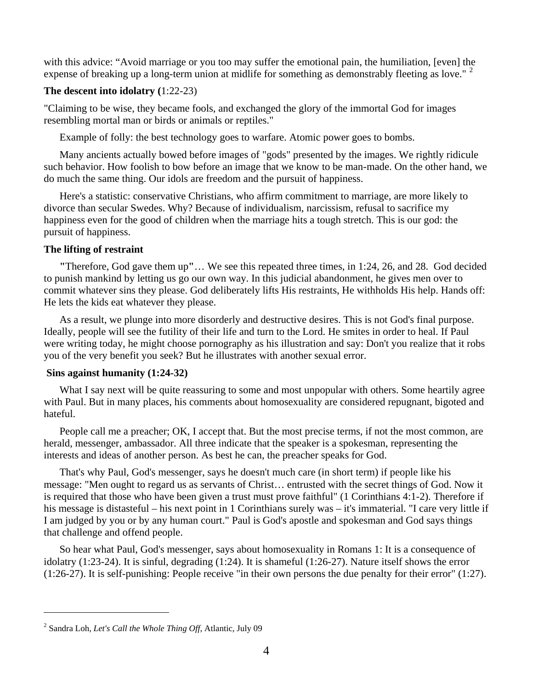with this advice: "Avoid marriage or you too may suffer the emotional pain, the humiliation, [even] the expense of breaking up a long-term union at midlife for something as demonstrably fleeting as love." <sup>[2](#page-3-0)</sup>

# **The descent into idolatry (**1:22-23)

"Claiming to be wise, they became fools, and exchanged the glory of the immortal God for images resembling mortal man or birds or animals or reptiles."

Example of folly: the best technology goes to warfare. Atomic power goes to bombs.

 Many ancients actually bowed before images of "gods" presented by the images. We rightly ridicule such behavior. How foolish to bow before an image that we know to be man-made. On the other hand, we do much the same thing. Our idols are freedom and the pursuit of happiness.

 Here's a statistic: conservative Christians, who affirm commitment to marriage, are more likely to divorce than secular Swedes. Why? Because of individualism, narcissism, refusal to sacrifice my happiness even for the good of children when the marriage hits a tough stretch. This is our god: the pursuit of happiness.

## **The lifting of restraint**

 **"**Therefore, God gave them up**"**… We see this repeated three times, in 1:24, 26, and 28. God decided to punish mankind by letting us go our own way. In this judicial abandonment, he gives men over to commit whatever sins they please. God deliberately lifts His restraints, He withholds His help. Hands off: He lets the kids eat whatever they please.

 As a result, we plunge into more disorderly and destructive desires. This is not God's final purpose. Ideally, people will see the futility of their life and turn to the Lord. He smites in order to heal. If Paul were writing today, he might choose pornography as his illustration and say: Don't you realize that it robs you of the very benefit you seek? But he illustrates with another sexual error.

## **Sins against humanity (1:24-32)**

What I say next will be quite reassuring to some and most unpopular with others. Some heartily agree with Paul. But in many places, his comments about homosexuality are considered repugnant, bigoted and hateful.

 People call me a preacher; OK, I accept that. But the most precise terms, if not the most common, are herald, messenger, ambassador. All three indicate that the speaker is a spokesman, representing the interests and ideas of another person. As best he can, the preacher speaks for God.

 That's why Paul, God's messenger, says he doesn't much care (in short term) if people like his message: "Men ought to regard us as servants of Christ… entrusted with the secret things of God. Now it is required that those who have been given a trust must prove faithful" (1 Corinthians 4:1-2). Therefore if his message is distasteful – his next point in 1 Corinthians surely was – it's immaterial. "I care very little if I am judged by you or by any human court." Paul is God's apostle and spokesman and God says things that challenge and offend people.

 So hear what Paul, God's messenger, says about homosexuality in Romans 1: It is a consequence of idolatry (1:23-24). It is sinful, degrading (1:24). It is shameful (1:26-27). Nature itself shows the error (1:26-27). It is self-punishing: People receive "in their own persons the due penalty for their error" (1:27).

l

<span id="page-3-0"></span><sup>2</sup> Sandra Loh, *Let's Call the Whole Thing Off,* Atlantic, July 09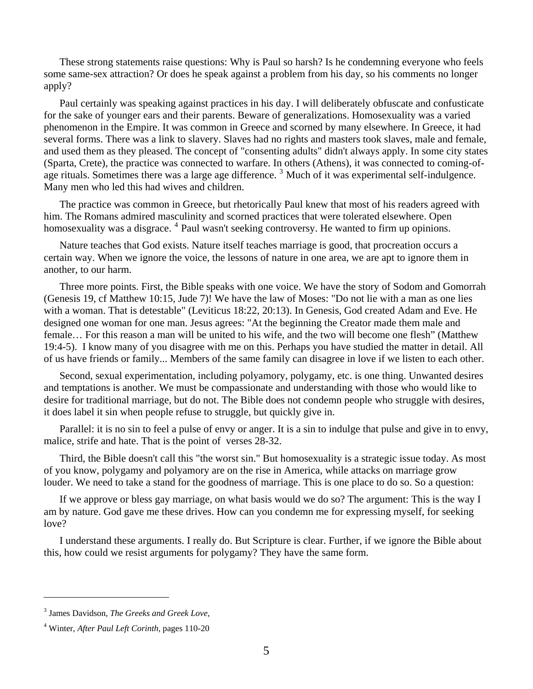These strong statements raise questions: Why is Paul so harsh? Is he condemning everyone who feels some same-sex attraction? Or does he speak against a problem from his day, so his comments no longer apply?

Paul certainly was speaking against practices in his day. I will deliberately obfuscate and confusticate for the sake of younger ears and their parents. Beware of generalizations. Homosexuality was a varied phenomenon in the Empire. It was common in Greece and scorned by many elsewhere. In Greece, it had several forms. There was a link to slavery. Slaves had no rights and masters took slaves, male and female, and used them as they pleased. The concept of "consenting adults" didn't always apply. In some city states (Sparta, Crete), the practice was connected to warfare. In others (Athens), it was connected to coming-of-age rituals. Sometimes there was a large age difference.<sup>[3](#page-4-0)</sup> Much of it was experimental self-indulgence. Many men who led this had wives and children.

 The practice was common in Greece, but rhetorically Paul knew that most of his readers agreed with him. The Romans admired masculinity and scorned practices that were tolerated elsewhere. Open homosexuality was a disgrace. <sup>[4](#page-4-1)</sup> Paul wasn't seeking controversy. He wanted to firm up opinions.

 Nature teaches that God exists. Nature itself teaches marriage is good, that procreation occurs a certain way. When we ignore the voice, the lessons of nature in one area, we are apt to ignore them in another, to our harm.

 Three more points. First, the Bible speaks with one voice. We have the story of Sodom and Gomorrah (Genesis 19, cf Matthew 10:15, Jude 7)! We have the law of Moses: "Do not lie with a man as one lies with a woman. That is detestable" (Leviticus 18:22, 20:13). In Genesis, God created Adam and Eve. He designed one woman for one man. Jesus agrees: "At the beginning the Creator made them male and female… For this reason a man will be united to his wife, and the two will become one flesh" (Matthew 19:4-5). I know many of you disagree with me on this. Perhaps you have studied the matter in detail. All of us have friends or family... Members of the same family can disagree in love if we listen to each other.

 Second, sexual experimentation, including polyamory, polygamy, etc. is one thing. Unwanted desires and temptations is another. We must be compassionate and understanding with those who would like to desire for traditional marriage, but do not. The Bible does not condemn people who struggle with desires, it does label it sin when people refuse to struggle, but quickly give in.

 Parallel: it is no sin to feel a pulse of envy or anger. It is a sin to indulge that pulse and give in to envy, malice, strife and hate. That is the point of verses 28-32.

 Third, the Bible doesn't call this "the worst sin." But homosexuality is a strategic issue today. As most of you know, polygamy and polyamory are on the rise in America, while attacks on marriage grow louder. We need to take a stand for the goodness of marriage. This is one place to do so. So a question:

 If we approve or bless gay marriage, on what basis would we do so? The argument: This is the way I am by nature. God gave me these drives. How can you condemn me for expressing myself, for seeking love?

 I understand these arguments. I really do. But Scripture is clear. Further, if we ignore the Bible about this, how could we resist arguments for polygamy? They have the same form.

 $\overline{a}$ 

<span id="page-4-0"></span><sup>3</sup> James Davidson, *The Greeks and Greek Love*,

<span id="page-4-1"></span><sup>4</sup> Winter, *After Paul Left Corinth*, pages 110-20